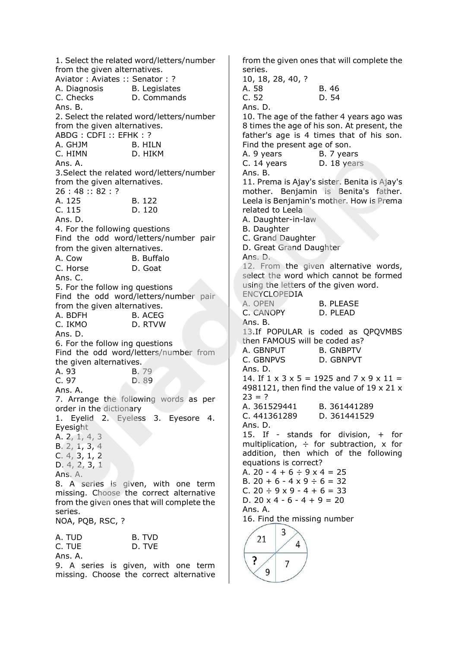1. Select the related word/letters/number from the given alternatives. Aviator : Aviates :: Senator : ? A. Diagnosis B. Legislates C. Checks D. Commands Ans. B. 2. Select the related word/letters/number from the given alternatives. ABDG : CDFI :: EFHK : ? A. GHJM B. HILN C. HIMN D. HIKM Ans. A. 3.Select the related word/letters/number from the given alternatives. 26 : 48 :: 82 : ? A. 125 B. 122 C. 115 D. 120 Ans. D. 4. For the following questions Find the odd word/letters/number pair from the given alternatives. A. Cow B. Buffalo C. Horse D. Goat Ans. C. 5. For the follow ing questions Find the odd word/letters/number pair from the given alternatives. A. BDFH B. ACEG C. IKMO D. RTVW Ans. D. 6. For the follow ing questions Find the odd word/letters/number from the given alternatives. A. 93 B. 79 C. 97 D. 89 Ans. A. 7. Arrange the following words as per order in the dictionary 1. Eyelid 2. Eyeless 3. Eyesore 4. **Evesight** A. 2, 1, 4, 3 B. 2, 1, 3, 4 C. 4, 3, 1, 2 D. 4, 2, 3, 1 Ans. A. 8. A series is given, with one term missing. Choose the correct alternative from the given ones that will complete the series. NOA, PQB, RSC, ? A. TUD B. TVD C. TUE D. TVE

Ans. A.

9. A series is given, with one term missing. Choose the correct alternative

from the given ones that will complete the series. 10, 18, 28, 40, ? A. 58 B. 46 C. 52 D. 54 Ans. D. 10. The age of the father 4 years ago was 8 times the age of his son. At present, the father's age is 4 times that of his son. Find the present age of son. A. 9 years B. 7 years C. 14 years D. 18 years Ans. B. 11. Prema is Ajay's sister. Benita is Ajay's mother. Benjamin is Benita's father. Leela is Benjamin's mother. How is Prema related to Leela A. Daughter-in-law B. Daughter C. Grand Daughter D. Great Grand Daughter Ans. D. 12. From the given alternative words, select the word which cannot be formed using the letters of the given word. ENCYCLOPEDIA A. OPEN B. PLEASE C. CANOPY D. PLEAD Ans. B. 13.If POPULAR is coded as QPQVMBS then FAMOUS will be coded as? A. GBNPUT B. GNBPTV C. GBNPVS D. GBNPVT Ans. D. 14. If  $1 \times 3 \times 5 = 1925$  and  $7 \times 9 \times 11 =$ 4981121, then find the value of  $19 \times 21 \times$  $23 = ?$ A. 361529441 B. 361441289 C. 441361289 D. 361441529 Ans. D. 15. If - stands for division, + for multiplication,  $\div$  for subtraction, x for addition, then which of the following equations is correct? A.  $20 - 4 + 6 \div 9 \times 4 = 25$ B.  $20 + 6 - 4 \times 9 \div 6 = 32$  $C. 20 \div 9 \times 9 - 4 + 6 = 33$ D.  $20 \times 4 - 6 - 4 + 9 = 20$ Ans. A. 16. Find the missing number3 21  $\overline{4}$ 

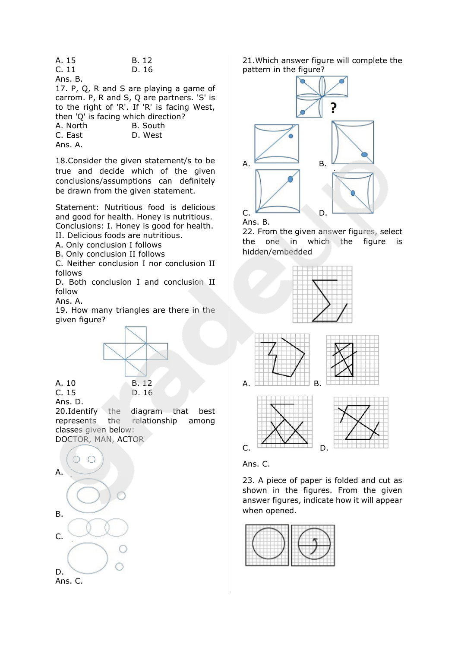| A. 15   |                                  | B. 12 |
|---------|----------------------------------|-------|
| C. 11   |                                  | D. 16 |
| Ans. B. |                                  |       |
|         | $17.0 \Omega$ Repair case plays: |       |

17. P, Q, R and S are playing a game of carrom. P, R and S, Q are partners. 'S' is to the right of 'R'. If 'R' is facing West, then 'Q' is facing which direction? A. North B. South C. East D. West

Ans. A.

18.Consider the given statement/s to be true and decide which of the given conclusions/assumptions can definitely be drawn from the given statement.

Statement: Nutritious food is delicious and good for health. Honey is nutritious. Conclusions: I. Honey is good for health.

II. Delicious foods are nutritious.

A. Only conclusion I follows

B. Only conclusion II follows

C. Neither conclusion I nor conclusion II follows

D. Both conclusion I and conclusion II follow

Ans. A.

19. How many triangles are there in the given figure?



C. 15 D. 16 Ans. D.

20.Identify the diagram that best represents the relationship among classes given below: DOCTOR, MAN, ACTOR



21.Which answer figure will complete the pattern in the figure?



Ans. B.

22. From the given answer figures, select the one in which the figure is hidden/embedded



Ans. C.

23. A piece of paper is folded and cut as shown in the figures. From the given answer figures, indicate how it will appear when opened.

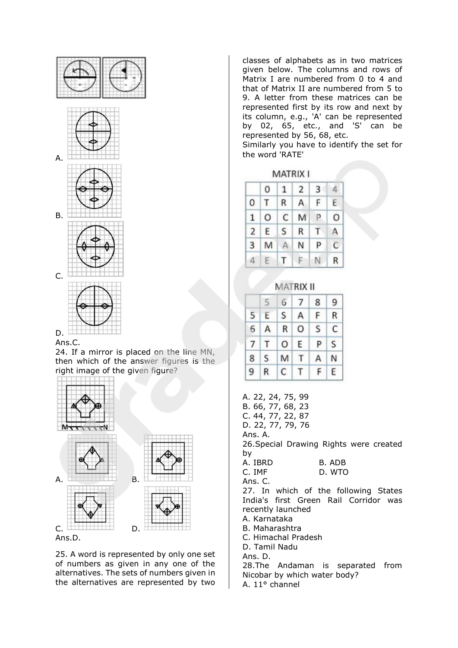

## Ans.C.

24. If a mirror is placed on the line MN, then which of the answer figures is the right image of the given figure?



25. A word is represented by only one set of numbers as given in any one of the alternatives. The sets of numbers given in the alternatives are represented by two classes of alphabets as in two matrices given below. The columns and rows of Matrix I are numbered from 0 to 4 and that of Matrix II are numbered from 5 to 9. A letter from these matrices can be represented first by its row and next by its column, e.g., 'A' can be represented by 02, 65, etc., and 'S' can be represented by 56, 68, etc.

Similarly you have to identify the set for the word 'RATE'

MATRIX I

|                | 0       | $\mathbf{1}$ | $\overline{2}$ | 3  |   |
|----------------|---------|--------------|----------------|----|---|
| $\mathbf{0}$   | Т       | $\mathsf{R}$ | $\mathsf{A}$   | F  | E |
| $\mathbf{1}$   | $\circ$ | $\mathsf{C}$ | М              | P. | 0 |
| $\overline{2}$ | E       | S            | R              | т  |   |
| 3              | M       |              | Ν              | P  | С |
|                | E       | T            |                |    | R |



|                 | 5 | 6            | 7 | 8  | 9       |
|-----------------|---|--------------|---|----|---------|
| $5\overline{)}$ | Ε | S            | Α | F  | R       |
| 6               | А | $\mathsf{R}$ | O | S  | C       |
| $\overline{7}$  | T | $\circ$      | E | P  | $\sf S$ |
| 8               | S | M            | Т | A  | N       |
| 9               | R | C            | т | F. | Ε       |
|                 |   |              |   |    |         |

A. 22, 24, 75, 99 B. 66, 77, 68, 23 C. 44, 77, 22, 87 D. 22, 77, 79, 76 Ans. A. 26.Special Drawing Rights were created by A. IBRD B. ADB D. WTO Ans. C. 27. In which of the following States India's first Green Rail Corridor was recently launched A. Karnataka B. Maharashtra C. Himachal Pradesh D. Tamil Nadu Ans. D. 28.The Andaman is separated from Nicobar by which water body?

A. 11° channel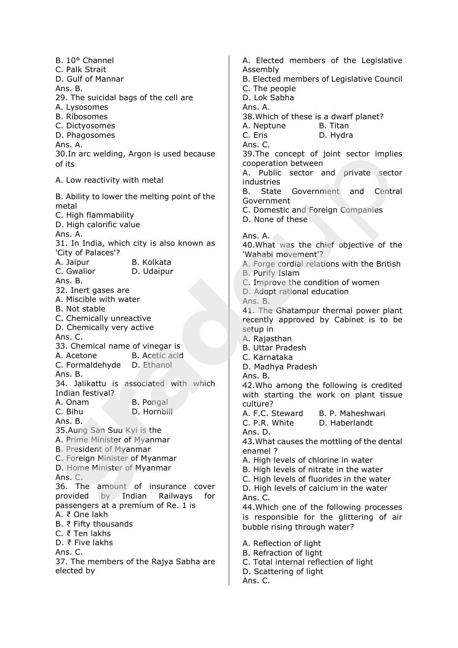B. 10° Channel C. Palk Strait D. Gulf of Mannar Ans. B. 29. The suicidal bags of the cell are A. Lysosomes B. Ribosomes C. Dictyosomes D. Phagosomes Ans. A. 30.In arc welding, Argon is used because of its A. Low reactivity with metal B. Ability to lower the melting point of the metal C. High flammability D. High calorific value Ans. A. 31. In India, which city is also known as 'City of Palaces'? A. Jaipur B. Kolkata C. Gwalior D. Udaipur Ans. B. 32. Inert gases are A. Miscible with water B. Not stable C. Chemically unreactive D. Chemically very active Ans. C. 33. Chemical name of vinegar is A. Acetone B. Acetic acid C. Formaldehyde D. Ethanol Ans. B. 34. Jalikattu is associated with which Indian festival? A. Onam B. Pongal C. Bihu D. Hornbill Ans. B. 35.Aung San Suu Kyi is the A. Prime Minister of Myanmar B. President of Myanmar C. Foreign Minister of Myanmar D. Home Minister of Myanmar Ans. C. 36. The amount of insurance cover provided by Indian Railways for passengers at a premium of Re. 1 is A. ₹ One lakh B. ₹ Fifty thousands C. ₹ Ten lakhs D. ₹ Five lakhs Ans. C. 37. The members of the Rajya Sabha are elected by

A. Elected members of the Legislative Assembly B. Elected members of Legislative Council C. The people D. Lok Sabha Ans. A. 38.Which of these is a dwarf planet? A. Neptune B. Titan C. Eris D. Hydra Ans. C. 39.The concept of joint sector implies cooperation between A. Public sector and private sector industries B. State Government and Central Government C. Domestic and Foreign Companies D. None of these Ans. A. 40.What was the chief objective of the 'Wahabi movement'? A. Forge cordial relations with the British B. Purify Islam C. Improve the condition of women D. Adopt rational education Ans. B. 41. The Ghatampur thermal power plant recently approved by Cabinet is to be setup in A. Rajasthan B. Uttar Pradesh C. Karnataka D. Madhya Pradesh Ans. B. 42.Who among the following is credited with starting the work on plant tissue culture? A. F.C. Steward B. P. Maheshwari C. P.R. White D. Haberlandt Ans. D. 43.What causes the mottling of the dental enamel ? A. High levels of chlorine in water B. High levels of nitrate in the water C. High levels of fluorides in the water D. High levels of calcium in the water Ans. C. 44.Which one of the following processes is responsible for the glittering of air bubble rising through water? A. Reflection of light B. Refraction of light C. Total internal reflection of light D. Scattering of light Ans. C.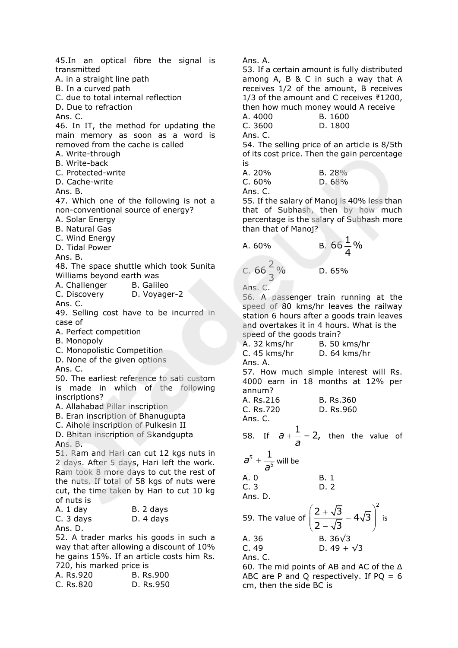45.In an optical fibre the signal is transmitted A. in a straight line path B. In a curved path C. due to total internal reflection D. Due to refraction Ans. C. 46. In IT, the method for updating the main memory as soon as a word is removed from the cache is called A. Write-through B. Write-back C. Protected-write D. Cache-write Ans. B. 47. Which one of the following is not a non-conventional source of energy? A. Solar Energy B. Natural Gas C. Wind Energy D. Tidal Power Ans. B. 48. The space shuttle which took Sunita Williams beyond earth was A. Challenger B. Galileo C. Discovery D. Voyager-2 Ans. C. 49. Selling cost have to be incurred in case of A. Perfect competition B. Monopoly C. Monopolistic Competition D. None of the given options Ans. C. 50. The earliest reference to sati custom is made in which of the following inscriptions? A. Allahabad Pillar inscription B. Eran inscription of Bhanugupta C. Aihole inscription of Pulkesin II D. Bhitan inscription of Skandgupta Ans. B. 51. Ram and Hari can cut 12 kgs nuts in 2 days. After 5 days, Hari left the work. Ram took 8 more days to cut the rest of the nuts. If total of 58 kgs of nuts were cut, the time taken by Hari to cut 10 kg of nuts is A. 1 day B. 2 days C. 3 days D. 4 days Ans. D. 52. A trader marks his goods in such a way that after allowing a discount of 10% he gains 15%. If an article costs him Rs. 720, his marked price is A. Rs.920 B. Rs.900 C. Rs.820 D. Rs.950

Ans. A. 53. If a certain amount is fully distributed among A, B & C in such a way that A receives 1/2 of the amount, B receives 1/3 of the amount and C receives ₹1200, then how much money would A receive A. 4000 B. 1600 C. 3600 D. 1800 Ans. C. 54. The selling price of an article is 8/5th of its cost price. Then the gain percentage is A. 20% B. 28% C. 60% D. 68% Ans. C. 55. If the salary of Manoj is 40% less than that of Subhash, then by how much percentage is the salary of Subhash more than that of Manoj? A.  $60%$  $66 - \frac{1}{6}$ % 4 c.  $66\frac{2}{5}\%$ 3 D. 65% Ans. C. 56. A passenger train running at the speed of 80 kms/hr leaves the railway station 6 hours after a goods train leaves and overtakes it in 4 hours. What is the speed of the goods train? A. 32 kms/hr B. 50 kms/hr C. 45 kms/hr D. 64 kms/hr Ans. A. 57. How much simple interest will Rs. 4000 earn in 18 months at 12% per annum? A. Rs.216 B. Rs.360 C. Rs.720 D. Rs.960 Ans. C. 58. If  $a + \frac{1}{a} = 2$ , *a*  $t + 1 = 2$ , then the value of 5 5  $a^5 + \frac{1}{a}$ *a*  $+\frac{1}{5}$  will be A. 0 B. 1 C. 3 D. 2 Ans. D. 59. The value of  $\left(\frac{2+\sqrt{3}}{2}-4\sqrt{3}\right)^2$  $2 - \sqrt{3}$  $\left(2+\sqrt{3}\right)^2$ .  $\left(\frac{2+\sqrt{3}}{2-\sqrt{3}}-4\sqrt{3}\right)$  is A. 36 B.  $36\sqrt{3}$ C. 49 D.  $49 + \sqrt{3}$ Ans. C.

60. The mid points of AB and AC of the Δ ABC are P and Q respectively. If  $PQ = 6$ cm, then the side BC is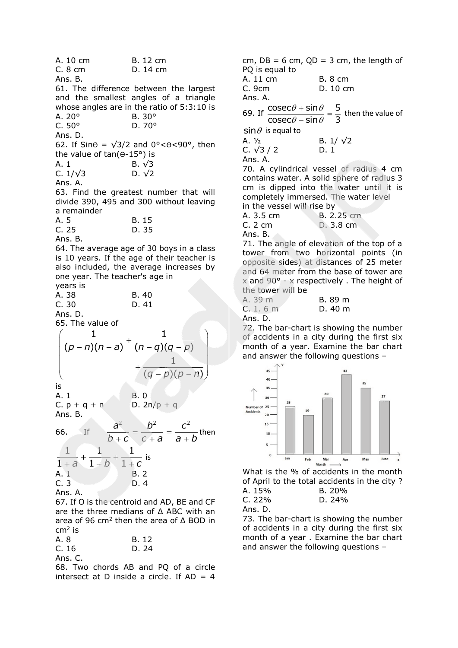A. 10 cm B. 12 cm C. 8 cm D. 14 cm Ans. B. 61. The difference between the largest and the smallest angles of a triangle whose angles are in the ratio of 5:3:10 is A. 20° B. 30° C. 50° D. 70° Ans. D. 62. If Sin $\theta = \sqrt{3}/2$  and 0° <  $\theta$  < 90°, then the value of tan( $\theta$ -15°) is A. 1 B.  $\sqrt{3}$ C.  $1/\sqrt{3}$  D.  $\sqrt{2}$ Ans. A. 63. Find the greatest number that will divide 390, 495 and 300 without leaving a remainder A. 5 B. 15 C. 25 D. 35 Ans. B. 64. The average age of 30 boys in a class is 10 years. If the age of their teacher is also included, the average increases by one year. The teacher's age in years is A. 38 B. 40 C. 30 D. 41 Ans. D. 65. The value of value of  $\frac{1}{1}$   $+$   $\frac{1}{1}$  $\frac{1}{(p-n)(n-a)}+\frac{1}{(n-q)(q-p)}$ 1  $\frac{1}{(q-p)(p-n)}$  $\frac{1}{(q-p)(p-n)}$  $\left(\begin{array}{c|c} 5. \text{ The value of} \ 1 & 1 \end{array}\right)$  $\left(\frac{1}{(p-n)(n-a)}+\frac{1}{(n-q)(q-p)}\right)$  $\binom{(p-n)(n-a)}{1}$   $\binom{(n-q)(q-p)}{1}$  $+\frac{1}{(q-p)(p-n)}$ is A. 1 B. 0 **C.**  $p + q + n$  **D.**  $2n/p + q$ Ans. B. 66.  $a^2$  *b*<sup>2</sup> *c*<sup>2</sup>  $\overline{b+c} = \overline{c+a} = \overline{a+b}$  $=\frac{b^2}{a}=\frac{1}{2}$  $\frac{a}{c} = \frac{b}{c+a} = \frac{c}{a+b}$  then  $\frac{1}{1} + \frac{1}{1} + \frac{1}{1}$  $\frac{1}{1+a}$  +  $\frac{1}{1+b}$  +  $\frac{1}{1+c}$ – is A. 1 B. 2 C. 3 D. 4 Ans. A.

67. If O is the centroid and AD, BE and CF are the three medians of Δ ABC with an area of 96 cm<sup>2</sup> then the area of  $\Delta$  BOD in  $cm<sup>2</sup>$  is

| A. 8    | B. 12 |
|---------|-------|
| C. 16   | D. 24 |
| Ans. C. |       |

68. Two chords AB and PQ of a circle intersect at D inside a circle. If  $AD = 4$ 

cm,  $DB = 6$  cm,  $QD = 3$  cm, the length of PQ is equal to A. 11 cm B. 8 cm C. 9cm D. 10 cm Ans. A. 69. If  $\frac{\text{cosec}\theta + \sin \theta}{\sin \theta} = \frac{5}{5}$  $\overline{\csc \theta - \sin \theta} = \frac{1}{3}$  $\theta$  + sin $\theta$  $\theta$  – sin $\theta$ <sup>=</sup>  $\frac{1}{1+\sin \theta} = \frac{5}{2}$  then the value of  $\overline{\csc \theta - \sin \theta}$  $\sin\theta$  is equal to A.  $\frac{1}{2}$  B.  $1/\sqrt{2}$ C.  $\sqrt{3}/2$  D. 1 Ans. A. 70. A cylindrical vessel of radius 4 cm contains water. A solid sphere of radius 3 cm is dipped into the water until it is completely immersed. The water level in the vessel will rise by A. 3.5 cm B. 2.25 cm C. 2 cm D. 3.8 cm Ans. B. 71. The angle of elevation of the top of a tower from two horizontal points (in opposite sides) at distances of 25 meter and 64 meter from the base of tower are  $x$  and 90° -  $x$  respectively. The height of the tower will be

| A. 39 m   | B. 89 m |  |
|-----------|---------|--|
| C. 1. 6 m | D. 40 m |  |

Ans. D.

72. The bar-chart is showing the number of accidents in a city during the first six month of a year. Examine the bar chart and answer the following questions –



What is the % of accidents in the month of April to the total accidents in the city ? A. 15% B. 20% C. 22% D. 24% Ans. D.

73. The bar-chart is showing the number of accidents in a city during the first six month of a year . Examine the bar chart and answer the following questions –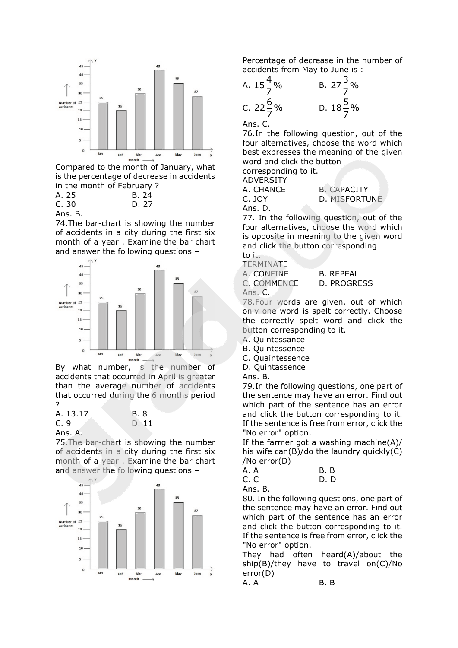

is the percentage of decrease in accidents in the month of February ?

A. 25 B. 24 C. 30 D. 27 Ans. B.

74.The bar-chart is showing the number of accidents in a city during the first six month of a year . Examine the bar chart and answer the following questions –



By what number, is the number of accidents that occurred in April is greater than the average number of accidents that occurred during the 6 months period ?

| A. 13.17 | B. 8  |
|----------|-------|
| C. 9     | D. 11 |
| Ans. A.  |       |

75.The bar-chart is showing the number of accidents in a city during the first six month of a year . Examine the bar chart and answer the following questions –



Percentage of decrease in the number of accidents from May to June is :

A. 
$$
15\frac{4}{7}\%
$$
  
\nB.  $27\frac{3}{7}\%$   
\nC.  $22\frac{6}{7}\%$   
\nD.  $18\frac{5}{7}\%$   
\nAns. C.

76.In the following question, out of the four alternatives, choose the word which best expresses the meaning of the given word and click the button

corresponding to it.

ADVERSITY

A. CHANCE B. CAPACITY C. JOY D. MISFORTUNE Ans. D.

77. In the following question, out of the four alternatives, choose the word which is opposite in meaning to the given word and click the button corresponding to it.

**TERMINATE** 

A. CONFINE B. REPEAL C. COMMENCE D. PROGRESS Ans. C.

78.Four words are given, out of which only one word is spelt correctly. Choose the correctly spelt word and click the button corresponding to it.

A. Quintessance

- B. Quintessence
- C. Quaintessence
- D. Quintassence
- Ans. B.

79.In the following questions, one part of the sentence may have an error. Find out which part of the sentence has an error and click the button corresponding to it. If the sentence is free from error, click the "No error" option.

If the farmer got a washing machine $(A)/$ his wife can(B)/do the laundry quickly(C) /No error(D)

| A. A | B.B |
|------|-----|
| C.C  | D.D |
|      |     |

Ans. B.

80. In the following questions, one part of the sentence may have an error. Find out which part of the sentence has an error and click the button corresponding to it. If the sentence is free from error, click the "No error" option.

They had often heard(A)/about the ship(B)/they have to travel on(C)/No error(D)

A. A B. B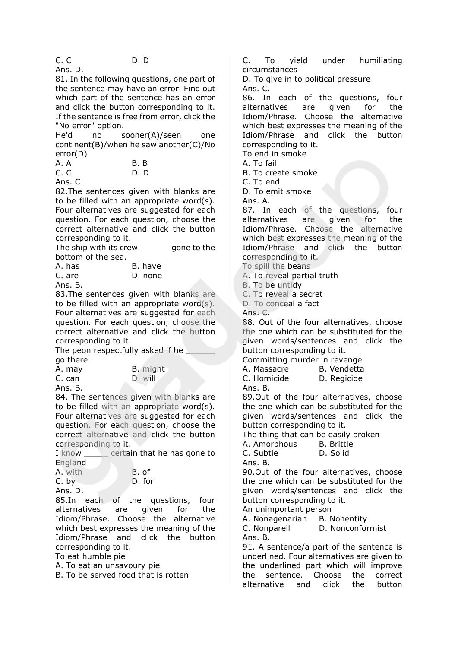Ans. D.

81. In the following questions, one part of the sentence may have an error. Find out which part of the sentence has an error and click the button corresponding to it. If the sentence is free from error, click the "No error" option.

He'd no sooner(A)/seen one continent(B)/when he saw another(C)/No error(D)

| A. A                 | <b>B.</b> B |
|----------------------|-------------|
| C.C                  | D. D        |
| $\Delta$ no $\Gamma$ |             |

Ans. C

82.The sentences given with blanks are to be filled with an appropriate word(s). Four alternatives are suggested for each question. For each question, choose the correct alternative and click the button corresponding to it.

The ship with its crew \_\_\_\_\_\_ gone to the bottom of the sea.

| A. has  | B. have |
|---------|---------|
| C. are  | D. none |
| Ans. B. |         |

83. The sentences given with blanks are to be filled with an appropriate word $(s)$ . Four alternatives are suggested for each question. For each question, choose the correct alternative and click the button corresponding to it.

The peon respectfully asked if he go there

A. may B. might C. can D. will

Ans. B.

84. The sentences given with blanks are to be filled with an appropriate word(s). Four alternatives are suggested for each question. For each question, choose the correct alternative and click the button corresponding to it.

I know \_\_\_\_\_\_ certain that he has gone to England

| <b>A.</b> with | B. of  |
|----------------|--------|
| C. by          | D. for |
| Ans. D.        |        |

85.In each of the questions, four alternatives are given for the Idiom/Phrase. Choose the alternative which best expresses the meaning of the Idiom/Phrase and click the button corresponding to it.

To eat humble pie

A. To eat an unsavoury pie

B. To be served food that is rotten

C. To yield under humiliating circumstances

D. To give in to political pressure Ans. C.

86. In each of the questions, four alternatives are given for the Idiom/Phrase. Choose the alternative which best expresses the meaning of the Idiom/Phrase and click the button corresponding to it.

To end in smoke

A. To fail

B. To create smoke

C. To end

D. To emit smoke

Ans. A.

87. In each of the questions, four alternatives are given for the Idiom/Phrase. Choose the alternative which best expresses the meaning of the Idiom/Phrase and click the button corresponding to it.

To spill the beans

A. To reveal partial truth

B. To be untidy

C. To reveal a secret

D. To conceal a fact

Ans. C.

88. Out of the four alternatives, choose the one which can be substituted for the given words/sentences and click the button corresponding to it.

Committing murder in revenge

A. Massacre B. Vendetta

C. Homicide D. Regicide

Ans. B.

89.Out of the four alternatives, choose the one which can be substituted for the given words/sentences and click the button corresponding to it.

The thing that can be easily broken

A. Amorphous B. Brittle

C. Subtle D. Solid

Ans. B.

90.Out of the four alternatives, choose the one which can be substituted for the given words/sentences and click the button corresponding to it.

An unimportant person

A. Nonagenarian B. Nonentity

C. Nonpareil D. Nonconformist Ans. B.

91. A sentence/a part of the sentence is underlined. Four alternatives are given to the underlined part which will improve the sentence. Choose the correct alternative and click the button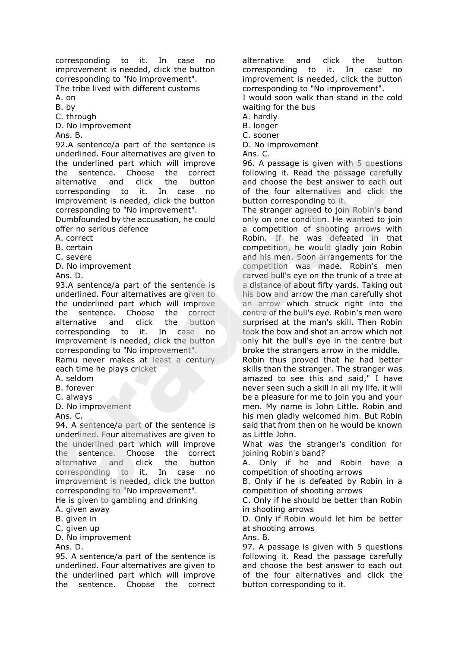corresponding to it. In case no improvement is needed, click the button corresponding to "No improvement". The tribe lived with different customs

A. on

B. by

C. through

D. No improvement

Ans. B.

92.A sentence/a part of the sentence is underlined. Four alternatives are given to the underlined part which will improve the sentence. Choose the correct alternative and click the button corresponding to it. In case no improvement is needed, click the button corresponding to "No improvement".

Dumbfounded by the accusation, he could offer no serious defence

A. correct

B. certain

C. severe

D. No improvement

Ans. D.

93.A sentence/a part of the sentence is underlined. Four alternatives are given to the underlined part which will improve the sentence. Choose the correct alternative and click the button corresponding to it. In case no improvement is needed, click the button corresponding to "No improvement".

Ramu never makes at least a century each time he plays cricket

A. seldom

B. forever

C. always

D. No improvement

Ans. C.

94. A sentence/a part of the sentence is underlined. Four alternatives are given to the underlined part which will improve the sentence. Choose the correct alternative and click the button corresponding to it. In case no improvement is needed, click the button corresponding to "No improvement".

He is given to gambling and drinking

A. given away

B. given in

C. given up

D. No improvement

Ans. D.

95. A sentence/a part of the sentence is underlined. Four alternatives are given to the underlined part which will improve the sentence. Choose the correct alternative and click the button corresponding to it. In case no improvement is needed, click the button corresponding to "No improvement".

I would soon walk than stand in the cold waiting for the bus

A. hardly

B. longer

C. sooner

D. No improvement

Ans. C.

96. A passage is given with 5 questions following it. Read the passage carefully and choose the best answer to each out of the four alternatives and click the button corresponding to it.

The stranger agreed to join Robin's band only on one condition. He wanted to join a competition of shooting arrows with Robin. If he was defeated in that competition, he would gladly join Robin and his men. Soon arrangements for the competition was made. Robin's men carved bull's eye on the trunk of a tree at a distance of about fifty yards. Taking out his bow and arrow the man carefully shot an arrow which struck right into the centre of the bull's eye. Robin's men were surprised at the man's skill. Then Robin took the bow and shot an arrow which not only hit the bull's eye in the centre but broke the strangers arrow in the middle. Robin thus proved that he had better skills than the stranger. The stranger was amazed to see this and said," I have never seen such a skill in all my life. it will be a pleasure for me to join you and your men. My name is John Little. Robin and his men gladly welcomed him. But Robin said that from then on he would be known as Little John.

What was the stranger's condition for joining Robin's band?

A. Only if he and Robin have a competition of shooting arrows

B. Only if he is defeated by Robin in a competition of shooting arrows

C. Only if he should be better than Robin in shooting arrows

D. Only if Robin would let him be better at shooting arrows

Ans. B.

97. A passage is given with 5 questions following it. Read the passage carefully and choose the best answer to each out of the four alternatives and click the button corresponding to it.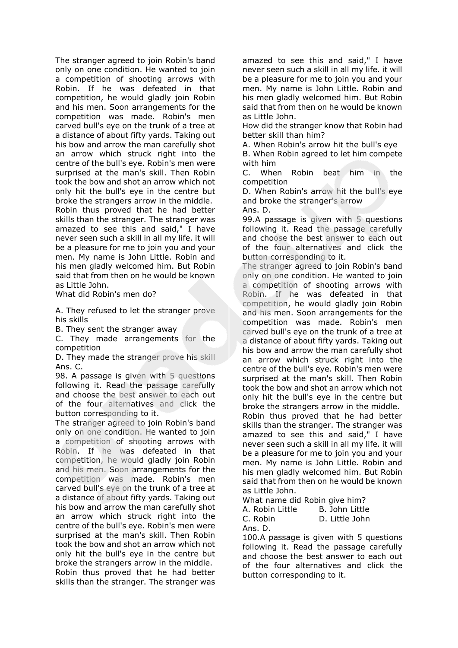The stranger agreed to join Robin's band only on one condition. He wanted to join a competition of shooting arrows with Robin. If he was defeated in that competition, he would gladly join Robin and his men. Soon arrangements for the competition was made. Robin's men carved bull's eye on the trunk of a tree at a distance of about fifty yards. Taking out his bow and arrow the man carefully shot an arrow which struck right into the centre of the bull's eye. Robin's men were surprised at the man's skill. Then Robin took the bow and shot an arrow which not only hit the bull's eye in the centre but broke the strangers arrow in the middle. Robin thus proved that he had better skills than the stranger. The stranger was amazed to see this and said," I have never seen such a skill in all my life. it will be a pleasure for me to join you and your men. My name is John Little. Robin and his men gladly welcomed him. But Robin said that from then on he would be known as Little John.

What did Robin's men do?

A. They refused to let the stranger prove his skills

B. They sent the stranger away

C. They made arrangements for the competition

D. They made the stranger prove his skill Ans. C.

98. A passage is given with 5 questions following it. Read the passage carefully and choose the best answer to each out of the four alternatives and click the button corresponding to it.

The stranger agreed to join Robin's band only on one condition. He wanted to join a competition of shooting arrows with Robin. If he was defeated in that competition, he would gladly join Robin and his men. Soon arrangements for the competition was made. Robin's men carved bull's eye on the trunk of a tree at a distance of about fifty yards. Taking out his bow and arrow the man carefully shot an arrow which struck right into the centre of the bull's eye. Robin's men were surprised at the man's skill. Then Robin took the bow and shot an arrow which not only hit the bull's eye in the centre but broke the strangers arrow in the middle. Robin thus proved that he had better skills than the stranger. The stranger was amazed to see this and said," I have never seen such a skill in all my life. it will be a pleasure for me to join you and your men. My name is John Little. Robin and his men gladly welcomed him. But Robin said that from then on he would be known as Little John.

How did the stranger know that Robin had better skill than him?

A. When Robin's arrow hit the bull's eye

B. When Robin agreed to let him compete with him

C. When Robin beat him in the competition

D. When Robin's arrow hit the bull's eye and broke the stranger's arrow

Ans. D.

99.A passage is given with 5 questions following it. Read the passage carefully and choose the best answer to each out of the four alternatives and click the button corresponding to it.

The stranger agreed to join Robin's band only on one condition. He wanted to join a competition of shooting arrows with Robin. If he was defeated in that competition, he would gladly join Robin and his men. Soon arrangements for the competition was made. Robin's men carved bull's eye on the trunk of a tree at a distance of about fifty yards. Taking out his bow and arrow the man carefully shot an arrow which struck right into the centre of the bull's eye. Robin's men were surprised at the man's skill. Then Robin took the bow and shot an arrow which not only hit the bull's eye in the centre but broke the strangers arrow in the middle.

Robin thus proved that he had better skills than the stranger. The stranger was amazed to see this and said," I have never seen such a skill in all my life. it will be a pleasure for me to join you and your men. My name is John Little. Robin and his men gladly welcomed him. But Robin said that from then on he would be known as Little John.

What name did Robin give him? A. Robin Little B. John Little C. Robin D. Little John Ans. D.

100.A passage is given with 5 questions following it. Read the passage carefully and choose the best answer to each out of the four alternatives and click the button corresponding to it.